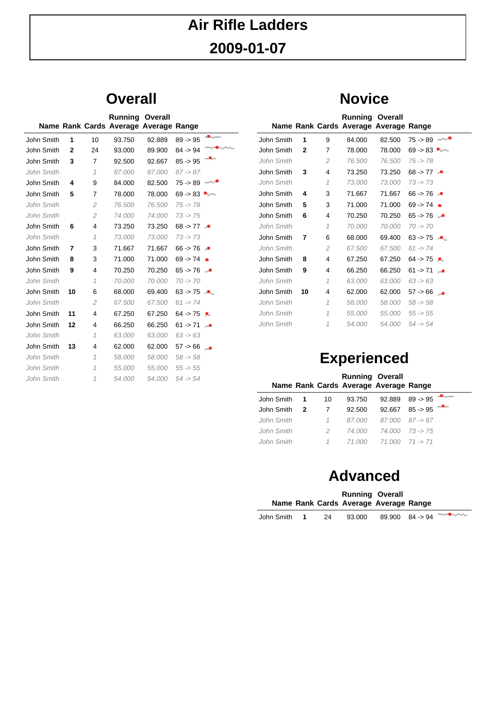# **Air Rifle Ladders 2009-01-07**

#### **Overall**

|            |    |                | <b>Running Overall</b>                |        |                                    |        |
|------------|----|----------------|---------------------------------------|--------|------------------------------------|--------|
|            |    |                | Name Rank Cards Average Average Range |        |                                    |        |
| John Smith | 1  | 10             | 93.750                                | 92.889 | $89 - 95$                          |        |
| John Smith | 2  | 24             | 93.000                                | 89.900 | $84 - 94$                          |        |
| John Smith | 3  | 7              | 92.500                                | 92.667 | $85 - 95$                          |        |
| John Smith |    | 1              | 87.000                                | 87.000 | $87 - 87$                          |        |
| John Smith | 4  | 9              | 84.000                                | 82.500 | $75 - 89$                          |        |
| John Smith | 5  | 7              | 78,000                                | 78.000 | $69 - 83$ $\mu$                    |        |
| John Smith |    | $\overline{2}$ | 76.500                                | 76.500 | $75 - 78$                          |        |
| John Smith |    | $\overline{2}$ | 74.000                                | 74.000 | $73 \div 75$                       |        |
| John Smith | 6  | 4              | 73.250                                | 73.250 | $68 - 77$ $\mu$                    |        |
| John Smith |    | 1              | 73,000                                | 73,000 | $73 \div 73$                       |        |
| John Smith | 7  | 3              | 71.667                                | 71.667 | $66 - 76$ $\Box$                   |        |
| John Smith | 8  | 3              | 71.000                                | 71.000 | $69 - 74$ a                        |        |
| John Smith | 9  | 4              | 70.250                                | 70.250 | $65 - 76$ $-4$                     |        |
| John Smith |    | $\mathcal I$   | 70,000                                | 70,000 | $70 \div 70$                       |        |
| John Smith | 10 | 6              | 68,000                                | 69.400 | $63 \rightarrow 75$ $\blacksquare$ |        |
| John Smith |    | $\overline{2}$ | 67.500                                | 67.500 | $61 - 74$                          |        |
| John Smith | 11 | 4              | 67.250                                | 67.250 | $64 > 75$ P                        |        |
| John Smith | 12 | 4              | 66.250                                | 66.250 | $61 - > 71$                        | $\sim$ |
| John Smith |    | 1              | 63,000                                | 63,000 | $63 \div 63$                       |        |
| John Smith | 13 | 4              | 62.000                                | 62.000 | $57 > 66$ -                        |        |
| John Smith |    | 1              | 58,000                                | 58,000 | $58 - 58$                          |        |
| John Smith |    | 1              | 55,000                                | 55,000 | $55 \rightarrow 55$                |        |
| John Smith |    | $\mathcal I$   | 54.000                                | 54.000 | $54 - 54$                          |        |

### **Novice**

|            |    |                | <b>Running Overall</b><br>Name Rank Cards Average Average Range |        |                          |
|------------|----|----------------|-----------------------------------------------------------------|--------|--------------------------|
| John Smith | 1  | 9              | 84.000                                                          | 82.500 | $75 - 89$                |
| John Smith | 2  | 7              | 78.000                                                          | 78.000 | $69 > 83$ Pu-            |
| John Smith |    | $\overline{2}$ | 76,500                                                          | 76,500 | $75 - 78$                |
| John Smith | 3  | 4              | 73.250                                                          | 73.250 | $68 - 77$ $\blacksquare$ |
| John Smith |    | 1              | 73.000                                                          | 73,000 | $73 - 73$                |
| John Smith | 4  | 3              | 71.667                                                          | 71.667 | $66 - 76$ $\blacksquare$ |
| John Smith | 5  | 3              | 71.000                                                          | 71.000 | $69 - 74$ a              |
| John Smith | 6  | 4              | 70.250                                                          | 70.250 | $65 - 76$ $-17$          |
| John Smith |    | 1              | 70,000                                                          | 70,000 | $70 - 570$               |
| John Smith | 7  | 6              | 68.000                                                          | 69.400 | $63 > 75$ $\blacksquare$ |
| John Smith |    | 2              | 67.500                                                          | 67.500 | $61 - > 74$              |
| John Smith | 8  | 4              | 67.250                                                          | 67.250 | $64 - 75$ P              |
| John Smith | 9  | 4              | 66.250                                                          | 66.250 | 61 -> 71 –∎              |
| John Smith |    | $\mathcal I$   | 63.000                                                          | 63.000 | $63 - 63$                |
| John Smith | 10 | 4              | 62.000                                                          | 62.000 | $57 > 66$ –              |
| John Smith |    | 1              | 58.000                                                          | 58.000 | $58 - 58$                |
| John Smith |    | 1              | 55,000                                                          | 55.000 | $55 - 55$                |
| John Smith |    | 1              | 54.000                                                          | 54.000 | $.54 - 5.54$             |

## **Experienced**

|            | <b>Running Overall</b> |    |                                       |        |                                                 |  |  |
|------------|------------------------|----|---------------------------------------|--------|-------------------------------------------------|--|--|
|            |                        |    | Name Rank Cards Average Average Range |        |                                                 |  |  |
| John Smith | 1                      | 10 | 93.750                                | 92.889 | $89 - 95$                                       |  |  |
| John Smith | 2                      | 7  | 92.500                                |        | $92.667$ $85 \rightarrow 95$ $\frac{-\pi}{\pi}$ |  |  |
| John Smith |                        |    | 87.000                                |        | $87.000$ $87 - 87$                              |  |  |
| John Smith |                        | 2  | 74.000                                | 74.000 | $73 - 75$                                       |  |  |
| John Smith |                        |    | 71.000                                | 71.000 | $71 - 71$                                       |  |  |

#### **Advanced**

|            |    | <b>Running Overall</b>                |                                        |
|------------|----|---------------------------------------|----------------------------------------|
|            |    | Name Rank Cards Average Average Range |                                        |
| John Smith | 24 | 93.000                                | 89.900 84 -> 94 <sup>-----------</sup> |